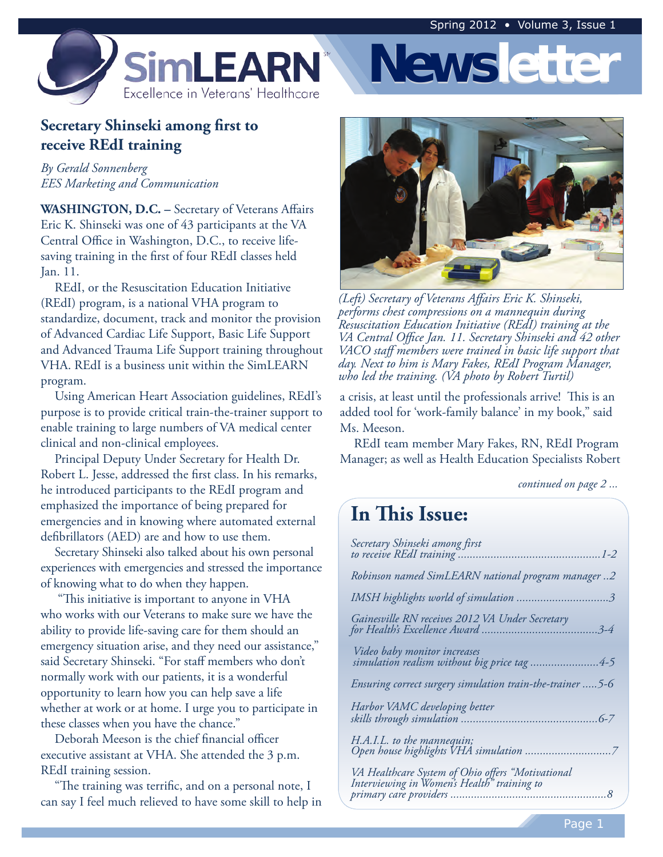

## **Secretary Shinseki among first to receive REdI training**

*By Gerald Sonnenberg EES Marketing and Communication* 

**WASHINGTON, D.C. –** Secretary of Veterans Affairs Eric K. Shinseki was one of 43 participants at the VA Central Office in Washington, D.C., to receive lifesaving training in the first of four REdI classes held Jan. 11.

REdI, or the Resuscitation Education Initiative (REdI) program, is a national VHA program to standardize, document, track and monitor the provision of Advanced Cardiac Life Support, Basic Life Support and Advanced Trauma Life Support training throughout VHA. REdI is a business unit within the SimLEARN program.

Using American Heart Association guidelines, REdI's purpose is to provide critical train-the-trainer support to enable training to large numbers of VA medical center clinical and non-clinical employees.

Principal Deputy Under Secretary for Health Dr. Robert L. Jesse, addressed the first class. In his remarks, he introduced participants to the REdI program and emphasized the importance of being prepared for emergencies and in knowing where automated external defibrillators (AED) are and how to use them.

 experiences with emergencies and stressed the importance of knowing what to do when they happen. Secretary Shinseki also talked about his own personal

 who works with our Veterans to make sure we have the ability to provide life-saving care for them should an emergency situation arise, and they need our assistance," said Secretary Shinseki. "For staff members who don't normally work with our patients, it is a wonderful opportunity to learn how you can help save a life whether at work or at home. I urge you to participate in these classes when you have the chance." "This initiative is important to anyone in VHA

Deborah Meeson is the chief financial officer executive assistant at VHA. She attended the 3 p.m. REdI training session.

"The training was terrific, and on a personal note, I can say I feel much relieved to have some skill to help in



**Newsletter**

*(Left) Secretary of Veterans Affairs Eric K. Shinseki, performs chest compressions on a mannequin during Resuscitation Education Initiative (REdI) training at the VA Central Office Jan. 11. Secretary Shinseki and 42 other VACO staff members were trained in basic life support that day. Next to him is Mary Fakes, REdI Program Manager, who led the training. (VA photo by Robert Turtil)* 

a crisis, at least until the professionals arrive! This is an added tool for 'work-family balance' in my book," said Ms. Meeson.

REdI team member Mary Fakes, RN, REdI Program Manager; as well as Health Education Specialists Robert

*continued on page 2 ...* 

## **In This Issue:**

| Secretary Shinseki among first                                                                   |
|--------------------------------------------------------------------------------------------------|
| Robinson named SimLEARN national program manager2                                                |
|                                                                                                  |
| Gainesville RN receives 2012 VA Under Secretary                                                  |
| Video baby monitor increases<br>simulation realism without big price tag 4-5                     |
| Ensuring correct surgery simulation train-the-trainer  5-6                                       |
| Harbor VAMC developing better                                                                    |
| H.A.I.L. to the mannequin;                                                                       |
| VA Healthcare System of Ohio offers "Motivational<br>Interviewing in Women's Health" training to |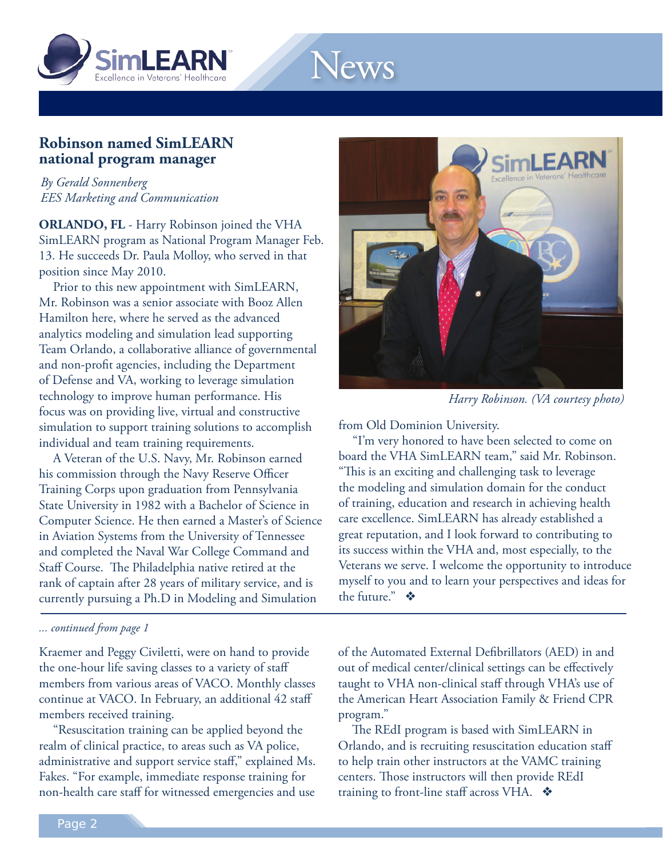

# News

## **Robinson named SimLEARN national program manager**

*By Gerald Sonnenberg EES Marketing and Communication* 

**ORLANDO, FL** - Harry Robinson joined the VHA SimLEARN program as National Program Manager Feb. 13. He succeeds Dr. Paula Molloy, who served in that position since May 2010.

Prior to this new appointment with SimLEARN, Mr. Robinson was a senior associate with Booz Allen Hamilton here, where he served as the advanced analytics modeling and simulation lead supporting Team Orlando, a collaborative alliance of governmental and non-profit agencies, including the Department of Defense and VA, working to leverage simulation technology to improve human performance. His focus was on providing live, virtual and constructive simulation to support training solutions to accomplish individual and team training requirements.

A Veteran of the U.S. Navy, Mr. Robinson earned his commission through the Navy Reserve Officer Training Corps upon graduation from Pennsylvania State University in 1982 with a Bachelor of Science in Computer Science. He then earned a Master's of Science in Aviation Systems from the University of Tennessee and completed the Naval War College Command and Staff Course. The Philadelphia native retired at the rank of captain after 28 years of military service, and is currently pursuing a Ph.D in Modeling and Simulation

#### *... continued from page 1*

Kraemer and Peggy Civiletti, were on hand to provide the one-hour life saving classes to a variety of staff members from various areas of VACO. Monthly classes continue at VACO. In February, an additional 42 staff members received training.

"Resuscitation training can be applied beyond the realm of clinical practice, to areas such as VA police, administrative and support service staff," explained Ms. Fakes. "For example, immediate response training for non-health care staff for witnessed emergencies and use



*Harry Robinson. (VA courtesy photo)* 

from Old Dominion University.

"I'm very honored to have been selected to come on board the VHA SimLEARN team," said Mr. Robinson. "This is an exciting and challenging task to leverage the modeling and simulation domain for the conduct of training, education and research in achieving health care excellence. SimLEARN has already established a great reputation, and I look forward to contributing to its success within the VHA and, most especially, to the Veterans we serve. I welcome the opportunity to introduce myself to you and to learn your perspectives and ideas for the future."  $\mathbf{\hat{*}}$ 

of the Automated External Defibrillators (AED) in and out of medical center/clinical settings can be effectively taught to VHA non-clinical staff through VHA's use of the American Heart Association Family & Friend CPR program."

The REdI program is based with SimLEARN in Orlando, and is recruiting resuscitation education staff to help train other instructors at the VAMC training centers. Those instructors will then provide REdI training to front-line staff across VHA.  $\bullet$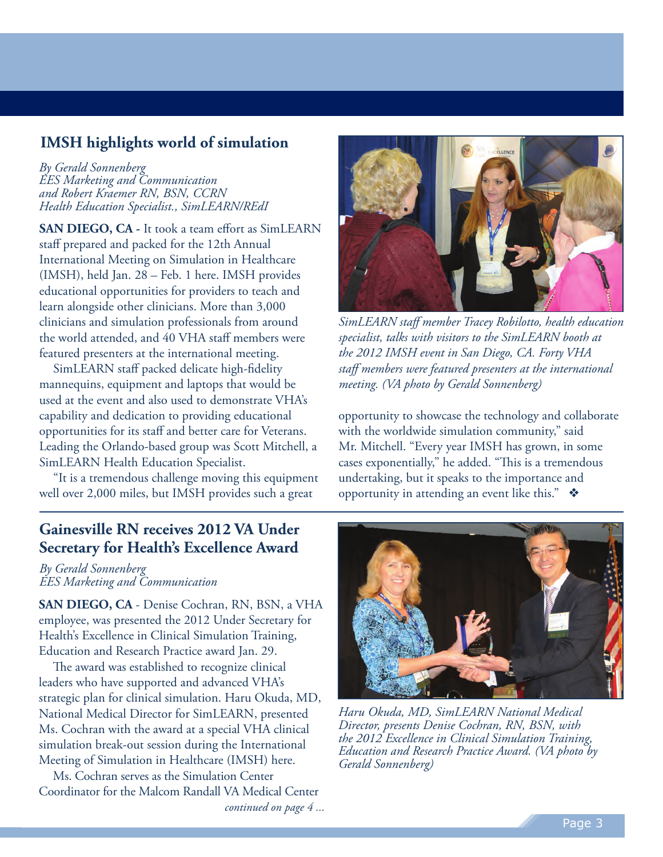## **IMSH highlights world of simulation**

*By Gerald Sonnenberg EES Marketing and Communication and Robert Kraemer RN, BSN, CCRN Health Education Specialist., SimLEARN/REdI* 

**SAN DIEGO, CA -** It took a team effort as SimLEARN staff prepared and packed for the 12th Annual International Meeting on Simulation in Healthcare (IMSH), held Jan. 28 – Feb. 1 here. IMSH provides educational opportunities for providers to teach and learn alongside other clinicians. More than 3,000 clinicians and simulation professionals from around the world attended, and 40 VHA staff members were featured presenters at the international meeting.

SimLEARN staff packed delicate high-fidelity mannequins, equipment and laptops that would be used at the event and also used to demonstrate VHA's capability and dedication to providing educational opportunities for its staff and better care for Veterans. Leading the Orlando-based group was Scott Mitchell, a SimLEARN Health Education Specialist.

"It is a tremendous challenge moving this equipment well over 2,000 miles, but IMSH provides such a great



 *SimLEARN staff member Tracey Robilotto, health education specialist, talks with visitors to the SimLEARN booth at the 2012 IMSH event in San Diego, CA. Forty VHA staff members were featured presenters at the international meeting. (VA photo by Gerald Sonnenberg)* 

opportunity to showcase the technology and collaborate with the worldwide simulation community," said Mr. Mitchell. "Every year IMSH has grown, in some cases exponentially," he added. "This is a tremendous undertaking, but it speaks to the importance and opportunity in attending an event like this."  $\bullet$ 

## **Gainesville RN receives 2012 VA Under Secretary for Health's Excellence Award**

*By Gerald Sonnenberg EES Marketing and Communication* 

**SAN DIEGO, CA** - Denise Cochran, RN, BSN, a VHA employee, was presented the 2012 Under Secretary for Health's Excellence in Clinical Simulation Training, Education and Research Practice award Jan. 29.

The award was established to recognize clinical leaders who have supported and advanced VHA's strategic plan for clinical simulation. Haru Okuda, MD, National Medical Director for SimLEARN, presented Ms. Cochran with the award at a special VHA clinical simulation break-out session during the International Meeting of Simulation in Healthcare (IMSH) here.

 Coordinator for the Malcom Randall VA Medical Center Ms. Cochran serves as the Simulation Center *continued on page 4 ...* 



*Haru Okuda, MD, SimLEARN National Medical Director, presents Denise Cochran, RN, BSN, with the 2012 Excellence in Clinical Simulation Training, Education and Research Practice Award. (VA photo by Gerald Sonnenberg)*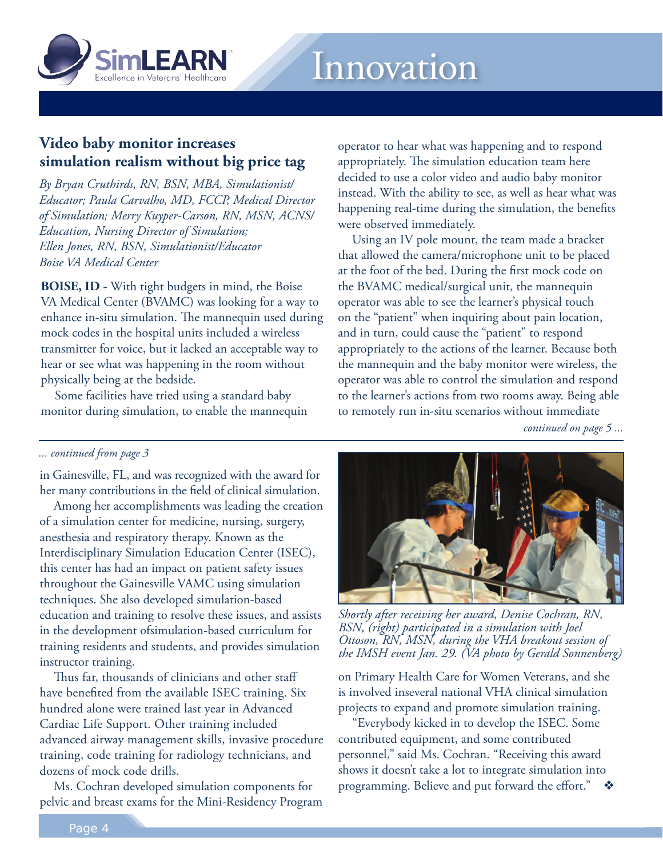

## **Video baby monitor increases simulation realism without big price tag**

*By Bryan Cruthirds, RN, BSN, MBA, Simulationist/ Educator; Paula Carvalho, MD, FCCP, Medical Director of Simulation; Merry Kuyper-Carson, RN, MSN, ACNS/ Education, Nursing Director of Simulation; Ellen Jones, RN, BSN, Simulationist/Educator Boise VA Medical Center* 

**BOISE, ID -** With tight budgets in mind, the Boise VA Medical Center (BVAMC) was looking for a way to enhance in-situ simulation. The mannequin used during mock codes in the hospital units included a wireless transmitter for voice, but it lacked an acceptable way to hear or see what was happening in the room without physically being at the bedside.

Some facilities have tried using a standard baby monitor during simulation, to enable the mannequin operator to hear what was happening and to respond appropriately. The simulation education team here decided to use a color video and audio baby monitor instead. With the ability to see, as well as hear what was happening real-time during the simulation, the benefits were observed immediately.

Using an IV pole mount, the team made a bracket that allowed the camera/microphone unit to be placed at the foot of the bed. During the first mock code on the BVAMC medical/surgical unit, the mannequin operator was able to see the learner's physical touch on the "patient" when inquiring about pain location, and in turn, could cause the "patient" to respond appropriately to the actions of the learner. Because both the mannequin and the baby monitor were wireless, the operator was able to control the simulation and respond to the learner's actions from two rooms away. Being able to remotely run in-situ scenarios without immediate

*continued on page 5 ...* 

#### *... continued from page 3*

 in Gainesville, FL, and was recognized with the award for her many contributions in the field of clinical simulation.

Among her accomplishments was leading the creation of a simulation center for medicine, nursing, surgery, anesthesia and respiratory therapy. Known as the Interdisciplinary Simulation Education Center (ISEC), this center has had an impact on patient safety issues throughout the Gainesville VAMC using simulation techniques. She also developed simulation-based education and training to resolve these issues, and assists in the development ofsimulation-based curriculum for training residents and students, and provides simulation instructor training.

 have benefited from the available ISEC training. Six hundred alone were trained last year in Advanced Cardiac Life Support. Other training included advanced airway management skills, invasive procedure training, code training for radiology technicians, and dozens of mock code drills. Thus far, thousands of clinicians and other staff

Ms. Cochran developed simulation components for pelvic and breast exams for the Mini-Residency Program



*Shortly after receiving her award, Denise Cochran, RN, BSN, (right) participated in a simulation with Joel Ottoson, RN, MSN, during the VHA breakout session of the IMSH event Jan. 29. (VA photo by Gerald Sonnenberg)* 

on Primary Health Care for Women Veterans, and she is involved inseveral national VHA clinical simulation projects to expand and promote simulation training.

"Everybody kicked in to develop the ISEC. Some contributed equipment, and some contributed personnel," said Ms. Cochran. "Receiving this award shows it doesn't take a lot to integrate simulation into programming. Believe and put forward the effort."  $\bullet$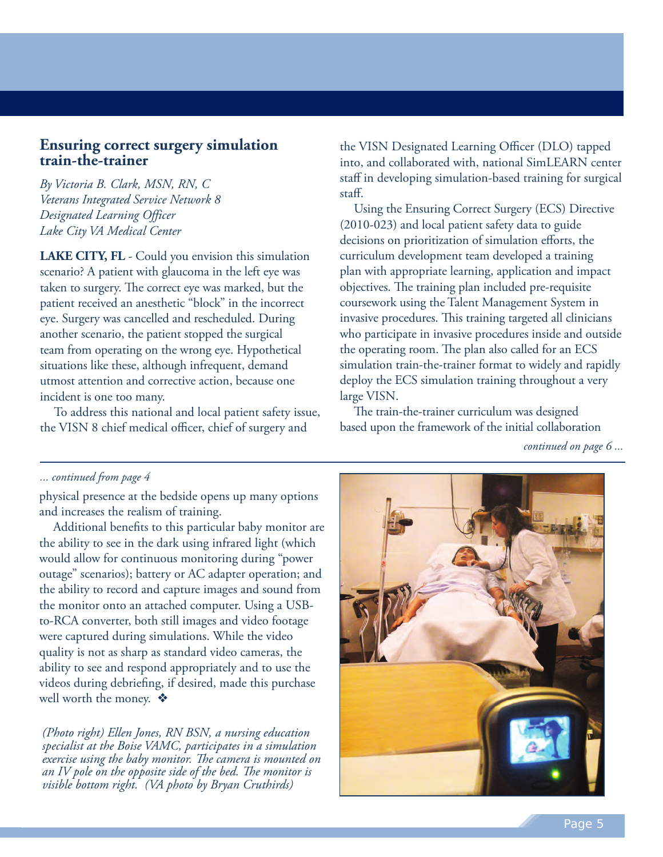### **Ensuring correct surgery simulation train-the-trainer**

*By Victoria B. Clark, MSN, RN, C Veterans Integrated Service Network 8 Designated Learning Officer Lake City VA Medical Center* 

 **LAKE CITY, FL** - Could you envision this simulation scenario? A patient with glaucoma in the left eye was taken to surgery. The correct eye was marked, but the patient received an anesthetic "block" in the incorrect eye. Surgery was cancelled and rescheduled. During another scenario, the patient stopped the surgical team from operating on the wrong eye. Hypothetical situations like these, although infrequent, demand utmost attention and corrective action, because one incident is one too many.

To address this national and local patient safety issue, the VISN 8 chief medical officer, chief of surgery and

the VISN Designated Learning Officer (DLO) tapped into, and collaborated with, national SimLEARN center staff in developing simulation-based training for surgical staff.

 (2010-023) and local patient safety data to guide decisions on prioritization of simulation efforts, the curriculum development team developed a training plan with appropriate learning, application and impact objectives. The training plan included pre-requisite coursework using the Talent Management System in invasive procedures. This training targeted all clinicians who participate in invasive procedures inside and outside the operating room. The plan also called for an ECS simulation train-the-trainer format to widely and rapidly deploy the ECS simulation training throughout a very Using the Ensuring Correct Surgery (ECS) Directive large VISN.

 based upon the framework of the initial collaboration The train-the-trainer curriculum was designed

*continued on page 6 ...* 

#### *... continued from page 4*

physical presence at the bedside opens up many options and increases the realism of training.

Additional benefits to this particular baby monitor are the ability to see in the dark using infrared light (which would allow for continuous monitoring during "power outage" scenarios); battery or AC adapter operation; and the ability to record and capture images and sound from the monitor onto an attached computer. Using a USBto-RCA converter, both still images and video footage were captured during simulations. While the video quality is not as sharp as standard video cameras, the ability to see and respond appropriately and to use the videos during debriefing, if desired, made this purchase well worth the money.  $\cdot$ 

*(Photo right) Ellen Jones, RN BSN, a nursing education specialist at the Boise VAMC, participates in a simulation exercise using the baby monitor. The camera is mounted on an IV pole on the opposite side of the bed. The monitor is visible bottom right. (VA photo by Bryan Cruthirds)* 

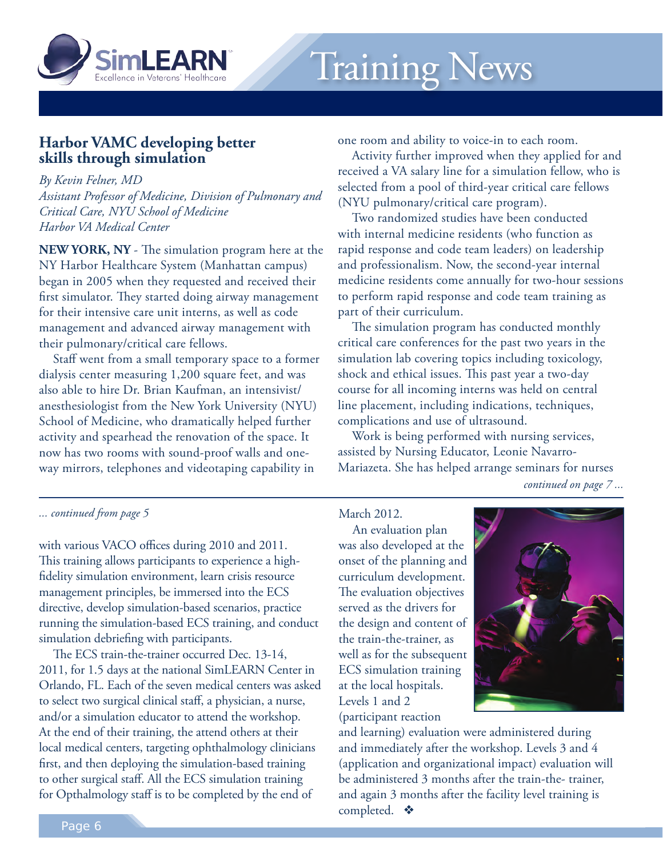

## **Harbor VAMC developing better skills through simulation**

*By Kevin Felner, MD Assistant Professor of Medicine, Division of Pulmonary and Critical Care, NYU School of Medicine Harbor VA Medical Center* 

 **NEW YORK, NY** - The simulation program here at the NY Harbor Healthcare System (Manhattan campus) began in 2005 when they requested and received their first simulator. They started doing airway management for their intensive care unit interns, as well as code management and advanced airway management with their pulmonary/critical care fellows.

 dialysis center measuring 1,200 square feet, and was also able to hire Dr. Brian Kaufman, an intensivist/ anesthesiologist from the New York University (NYU) School of Medicine, who dramatically helped further activity and spearhead the renovation of the space. It now has two rooms with sound-proof walls and one- way mirrors, telephones and videotaping capability in Staff went from a small temporary space to a former one room and ability to voice-in to each room.

 received a VA salary line for a simulation fellow, who is selected from a pool of third-year critical care fellows (NYU pulmonary/critical care program). Activity further improved when they applied for and

 with internal medicine residents (who function as rapid response and code team leaders) on leadership and professionalism. Now, the second-year internal medicine residents come annually for two-hour sessions to perform rapid response and code team training as part of their curriculum. Two randomized studies have been conducted

 critical care conferences for the past two years in the simulation lab covering topics including toxicology, shock and ethical issues. This past year a two-day course for all incoming interns was held on central line placement, including indications, techniques, complications and use of ultrasound. The simulation program has conducted monthly

 assisted by Nursing Educator, Leonie Navarro- Mariazeta. She has helped arrange seminars for nurses Work is being performed with nursing services, *continued on page 7 ...* 

*... continued from page 5* 

 with various VACO offices during 2010 and 2011. This training allows participants to experience a high- fidelity simulation environment, learn crisis resource management principles, be immersed into the ECS directive, develop simulation-based scenarios, practice running the simulation-based ECS training, and conduct simulation debriefing with participants.

 2011, for 1.5 days at the national SimLEARN Center in Orlando, FL. Each of the seven medical centers was asked to select two surgical clinical staff, a physician, a nurse, and/or a simulation educator to attend the workshop. At the end of their training, the attend others at their local medical centers, targeting ophthalmology clinicians first, and then deploying the simulation-based training to other surgical staff. All the ECS simulation training for Opthalmology staff is to be completed by the end of The ECS train-the-trainer occurred Dec. 13-14,

March 2012.

An evaluation plan was also developed at the onset of the planning and curriculum development. The evaluation objectives served as the drivers for the design and content of the train-the-trainer, as well as for the subsequent ECS simulation training at the local hospitals. Levels 1 and 2

(participant reaction



and learning) evaluation were administered during and immediately after the workshop. Levels 3 and 4 (application and organizational impact) evaluation will be administered 3 months after the train-the- trainer, and again 3 months after the facility level training is completed.  $\bullet$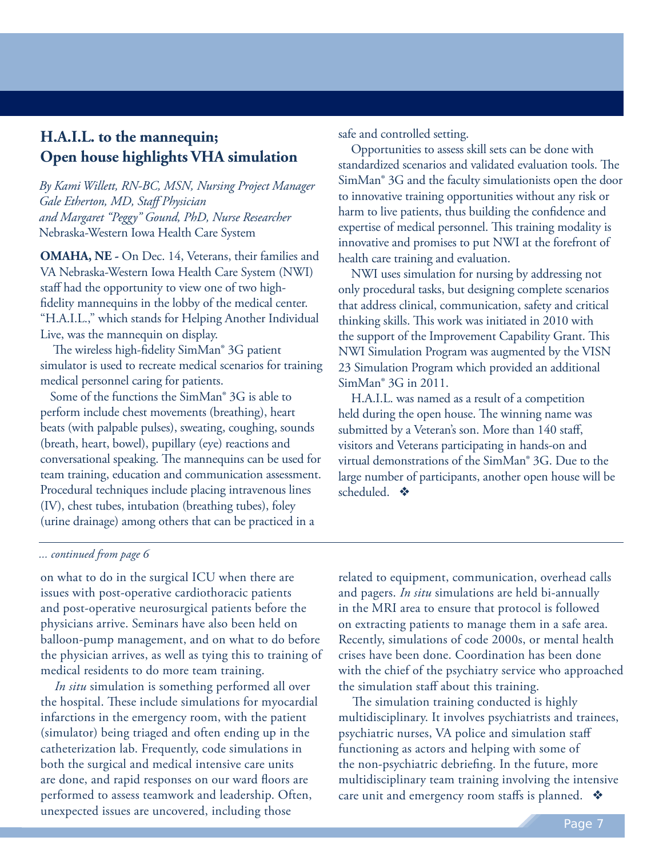## **H.A.I.L. to the mannequin; Open house highlights VHA simulation**

*By Kami Willett, RN-BC, MSN, Nursing Project Manager Gale Etherton, MD, Staff Physician and Margaret "Peggy" Gound, PhD, Nurse Researcher*  Nebraska-Western Iowa Health Care System

**OMAHA, NE -** On Dec. 14, Veterans, their families and VA Nebraska-Western Iowa Health Care System (NWI) staff had the opportunity to view one of two highfidelity mannequins in the lobby of the medical center. "H.A.I.L.," which stands for Helping Another Individual Live, was the mannequin on display.

 simulator is used to recreate medical scenarios for training medical personnel caring for patients. The wireless high-fidelity SimMan® 3G patient

 perform include chest movements (breathing), heart beats (with palpable pulses), sweating, coughing, sounds (breath, heart, bowel), pupillary (eye) reactions and conversational speaking. The mannequins can be used for team training, education and communication assessment. Procedural techniques include placing intravenous lines (IV), chest tubes, intubation (breathing tubes), foley (urine drainage) among others that can be practiced in a Some of the functions the SimMan® 3G is able to

safe and controlled setting.

 standardized scenarios and validated evaluation tools. The SimMan® 3G and the faculty simulationists open the door to innovative training opportunities without any risk or harm to live patients, thus building the confidence and expertise of medical personnel. This training modality is innovative and promises to put NWI at the forefront of health care training and evaluation. Opportunities to assess skill sets can be done with

 only procedural tasks, but designing complete scenarios that address clinical, communication, safety and critical thinking skills. This work was initiated in 2010 with the support of the Improvement Capability Grant. This NWI Simulation Program was augmented by the VISN 23 Simulation Program which provided an additional SimMan® 3G in 2011. NWI uses simulation for nursing by addressing not

 held during the open house. The winning name was submitted by a Veteran's son. More than 140 staff, visitors and Veterans participating in hands-on and virtual demonstrations of the SimMan® 3G. Due to the large number of participants, another open house will be scheduled.  $\bullet$ H.A.I.L. was named as a result of a competition

#### *... continued from page 6*

 on what to do in the surgical ICU when there are issues with post-operative cardiothoracic patients and post-operative neurosurgical patients before the physicians arrive. Seminars have also been held on balloon-pump management, and on what to do before the physician arrives, as well as tying this to training of medical residents to do more team training.

*In situ* simulation is something performed all over the hospital. These include simulations for myocardial infarctions in the emergency room, with the patient (simulator) being triaged and often ending up in the catheterization lab. Frequently, code simulations in both the surgical and medical intensive care units are done, and rapid responses on our ward floors are performed to assess teamwork and leadership. Often, unexpected issues are uncovered, including those

 related to equipment, communication, overhead calls and pagers. *In situ* simulations are held bi-annually in the MRI area to ensure that protocol is followed on extracting patients to manage them in a safe area. Recently, simulations of code 2000s, or mental health crises have been done. Coordination has been done with the chief of the psychiatry service who approached the simulation staff about this training.

 multidisciplinary. It involves psychiatrists and trainees, psychiatric nurses, VA police and simulation staff functioning as actors and helping with some of the non-psychiatric debriefing. In the future, more multidisciplinary team training involving the intensive care unit and emergency room staffs is planned.  $\; \clubsuit \;$ The simulation training conducted is highly